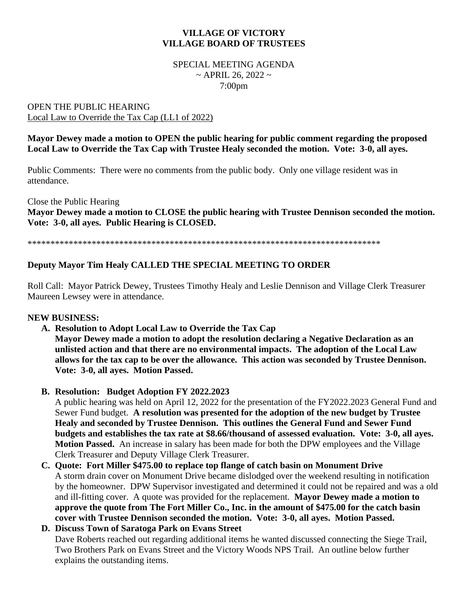# **VILLAGE OF VICTORY VILLAGE BOARD OF TRUSTEES**

#### SPECIAL MEETING AGENDA  $\sim$  APRIL 26, 2022  $\sim$ 7:00pm

#### OPEN THE PUBLIC HEARING Local Law to Override the Tax Cap (LL1 of 2022)

### **Mayor Dewey made a motion to OPEN the public hearing for public comment regarding the proposed Local Law to Override the Tax Cap with Trustee Healy seconded the motion. Vote: 3-0, all ayes.**

Public Comments: There were no comments from the public body. Only one village resident was in attendance.

Close the Public Hearing **Mayor Dewey made a motion to CLOSE the public hearing with Trustee Dennison seconded the motion. Vote: 3-0, all ayes. Public Hearing is CLOSED.**

\*\*\*\*\*\*\*\*\*\*\*\*\*\*\*\*\*\*\*\*\*\*\*\*\*\*\*\*\*\*\*\*\*\*\*\*\*\*\*\*\*\*\*\*\*\*\*\*\*\*\*\*\*\*\*\*\*\*\*\*\*\*\*\*\*\*\*\*\*\*\*\*\*\*\*\*\*

# **Deputy Mayor Tim Healy CALLED THE SPECIAL MEETING TO ORDER**

Roll Call: Mayor Patrick Dewey, Trustees Timothy Healy and Leslie Dennison and Village Clerk Treasurer Maureen Lewsey were in attendance.

#### **NEW BUSINESS:**

**A. Resolution to Adopt Local Law to Override the Tax Cap**

**Mayor Dewey made a motion to adopt the resolution declaring a Negative Declaration as an unlisted action and that there are no environmental impacts. The adoption of the Local Law allows for the tax cap to be over the allowance. This action was seconded by Trustee Dennison. Vote: 3-0, all ayes. Motion Passed.**

**B. Resolution: Budget Adoption FY 2022.2023**

A public hearing was held on April 12, 2022 for the presentation of the FY2022.2023 General Fund and Sewer Fund budget. **A resolution was presented for the adoption of the new budget by Trustee Healy and seconded by Trustee Dennison. This outlines the General Fund and Sewer Fund budgets and establishes the tax rate at \$8.66/thousand of assessed evaluation. Vote: 3-0, all ayes. Motion Passed.** An increase in salary has been made for both the DPW employees and the Village Clerk Treasurer and Deputy Village Clerk Treasurer.

**C. Quote: Fort Miller \$475.00 to replace top flange of catch basin on Monument Drive** A storm drain cover on Monument Drive became dislodged over the weekend resulting in notification by the homeowner. DPW Supervisor investigated and determined it could not be repaired and was a old and ill-fitting cover. A quote was provided for the replacement. **Mayor Dewey made a motion to approve the quote from The Fort Miller Co., Inc. in the amount of \$475.00 for the catch basin cover with Trustee Dennison seconded the motion. Vote: 3-0, all ayes. Motion Passed.**

#### **D. Discuss Town of Saratoga Park on Evans Street**  Dave Roberts reached out regarding additional items he wanted discussed connecting the Siege Trail, Two Brothers Park on Evans Street and the Victory Woods NPS Trail. An outline below further explains the outstanding items.